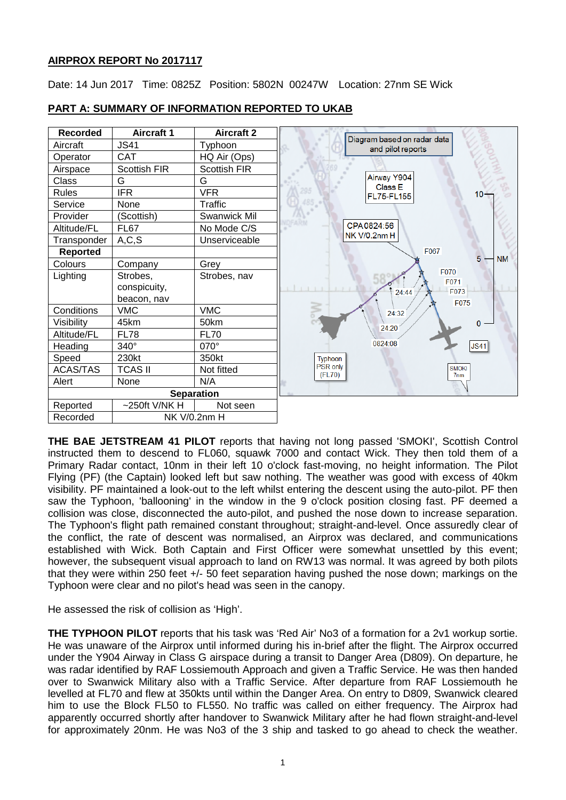# **AIRPROX REPORT No 2017117**

Date: 14 Jun 2017 Time: 0825Z Position: 5802N 00247W Location: 27nm SE Wick



# **PART A: SUMMARY OF INFORMATION REPORTED TO UKAB**

**THE BAE JETSTREAM 41 PILOT** reports that having not long passed 'SMOKI', Scottish Control instructed them to descend to FL060, squawk 7000 and contact Wick. They then told them of a Primary Radar contact, 10nm in their left 10 o'clock fast-moving, no height information. The Pilot Flying (PF) (the Captain) looked left but saw nothing. The weather was good with excess of 40km visibility. PF maintained a look-out to the left whilst entering the descent using the auto-pilot. PF then saw the Typhoon, 'ballooning' in the window in the 9 o'clock position closing fast. PF deemed a collision was close, disconnected the auto-pilot, and pushed the nose down to increase separation. The Typhoon's flight path remained constant throughout; straight-and-level. Once assuredly clear of the conflict, the rate of descent was normalised, an Airprox was declared, and communications established with Wick. Both Captain and First Officer were somewhat unsettled by this event; however, the subsequent visual approach to land on RW13 was normal. It was agreed by both pilots that they were within 250 feet +/- 50 feet separation having pushed the nose down; markings on the Typhoon were clear and no pilot's head was seen in the canopy.

He assessed the risk of collision as 'High'.

**THE TYPHOON PILOT** reports that his task was 'Red Air' No3 of a formation for a 2v1 workup sortie. He was unaware of the Airprox until informed during his in-brief after the flight. The Airprox occurred under the Y904 Airway in Class G airspace during a transit to Danger Area (D809). On departure, he was radar identified by RAF Lossiemouth Approach and given a Traffic Service. He was then handed over to Swanwick Military also with a Traffic Service. After departure from RAF Lossiemouth he levelled at FL70 and flew at 350kts until within the Danger Area. On entry to D809, Swanwick cleared him to use the Block FL50 to FL550. No traffic was called on either frequency. The Airprox had apparently occurred shortly after handover to Swanwick Military after he had flown straight-and-level for approximately 20nm. He was No3 of the 3 ship and tasked to go ahead to check the weather.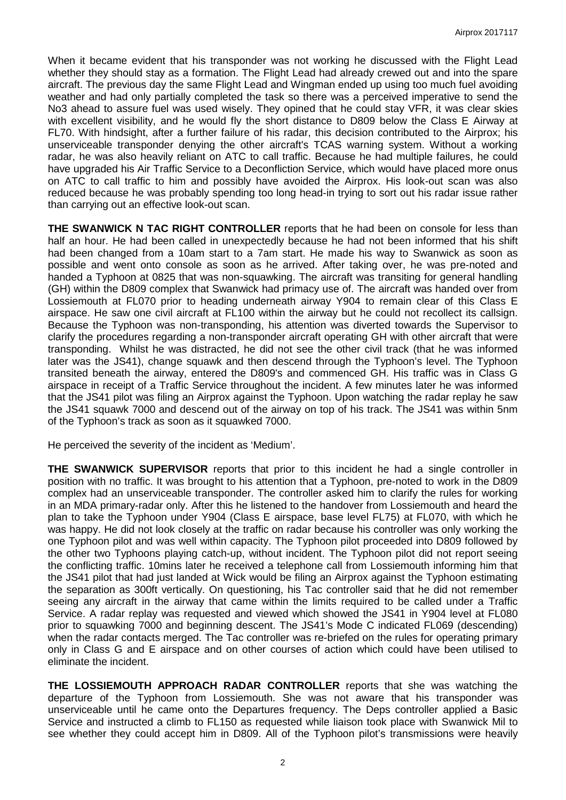When it became evident that his transponder was not working he discussed with the Flight Lead whether they should stay as a formation. The Flight Lead had already crewed out and into the spare aircraft. The previous day the same Flight Lead and Wingman ended up using too much fuel avoiding weather and had only partially completed the task so there was a perceived imperative to send the No3 ahead to assure fuel was used wisely. They opined that he could stay VFR, it was clear skies with excellent visibility, and he would fly the short distance to D809 below the Class E Airway at FL70. With hindsight, after a further failure of his radar, this decision contributed to the Airprox; his unserviceable transponder denying the other aircraft's TCAS warning system. Without a working radar, he was also heavily reliant on ATC to call traffic. Because he had multiple failures, he could have upgraded his Air Traffic Service to a Deconfliction Service, which would have placed more onus on ATC to call traffic to him and possibly have avoided the Airprox. His look-out scan was also reduced because he was probably spending too long head-in trying to sort out his radar issue rather than carrying out an effective look-out scan.

**THE SWANWICK N TAC RIGHT CONTROLLER** reports that he had been on console for less than half an hour. He had been called in unexpectedly because he had not been informed that his shift had been changed from a 10am start to a 7am start. He made his way to Swanwick as soon as possible and went onto console as soon as he arrived. After taking over, he was pre-noted and handed a Typhoon at 0825 that was non-squawking. The aircraft was transiting for general handling (GH) within the D809 complex that Swanwick had primacy use of. The aircraft was handed over from Lossiemouth at FL070 prior to heading underneath airway Y904 to remain clear of this Class E airspace. He saw one civil aircraft at FL100 within the airway but he could not recollect its callsign. Because the Typhoon was non-transponding, his attention was diverted towards the Supervisor to clarify the procedures regarding a non-transponder aircraft operating GH with other aircraft that were transponding. Whilst he was distracted, he did not see the other civil track (that he was informed later was the JS41), change squawk and then descend through the Typhoon's level. The Typhoon transited beneath the airway, entered the D809's and commenced GH. His traffic was in Class G airspace in receipt of a Traffic Service throughout the incident. A few minutes later he was informed that the JS41 pilot was filing an Airprox against the Typhoon. Upon watching the radar replay he saw the JS41 squawk 7000 and descend out of the airway on top of his track. The JS41 was within 5nm of the Typhoon's track as soon as it squawked 7000.

He perceived the severity of the incident as 'Medium'.

**THE SWANWICK SUPERVISOR** reports that prior to this incident he had a single controller in position with no traffic. It was brought to his attention that a Typhoon, pre-noted to work in the D809 complex had an unserviceable transponder. The controller asked him to clarify the rules for working in an MDA primary-radar only. After this he listened to the handover from Lossiemouth and heard the plan to take the Typhoon under Y904 (Class E airspace, base level FL75) at FL070, with which he was happy. He did not look closely at the traffic on radar because his controller was only working the one Typhoon pilot and was well within capacity. The Typhoon pilot proceeded into D809 followed by the other two Typhoons playing catch-up, without incident. The Typhoon pilot did not report seeing the conflicting traffic. 10mins later he received a telephone call from Lossiemouth informing him that the JS41 pilot that had just landed at Wick would be filing an Airprox against the Typhoon estimating the separation as 300ft vertically. On questioning, his Tac controller said that he did not remember seeing any aircraft in the airway that came within the limits required to be called under a Traffic Service. A radar replay was requested and viewed which showed the JS41 in Y904 level at FL080 prior to squawking 7000 and beginning descent. The JS41's Mode C indicated FL069 (descending) when the radar contacts merged. The Tac controller was re-briefed on the rules for operating primary only in Class G and E airspace and on other courses of action which could have been utilised to eliminate the incident.

**THE LOSSIEMOUTH APPROACH RADAR CONTROLLER** reports that she was watching the departure of the Typhoon from Lossiemouth. She was not aware that his transponder was unserviceable until he came onto the Departures frequency. The Deps controller applied a Basic Service and instructed a climb to FL150 as requested while liaison took place with Swanwick Mil to see whether they could accept him in D809. All of the Typhoon pilot's transmissions were heavily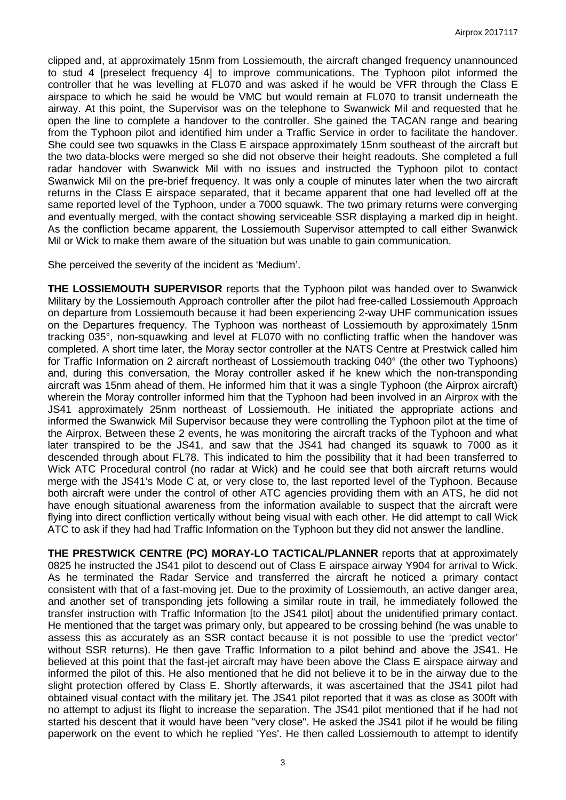clipped and, at approximately 15nm from Lossiemouth, the aircraft changed frequency unannounced to stud 4 [preselect frequency 4] to improve communications. The Typhoon pilot informed the controller that he was levelling at FL070 and was asked if he would be VFR through the Class E airspace to which he said he would be VMC but would remain at FL070 to transit underneath the airway. At this point, the Supervisor was on the telephone to Swanwick Mil and requested that he open the line to complete a handover to the controller. She gained the TACAN range and bearing from the Typhoon pilot and identified him under a Traffic Service in order to facilitate the handover. She could see two squawks in the Class E airspace approximately 15nm southeast of the aircraft but the two data-blocks were merged so she did not observe their height readouts. She completed a full radar handover with Swanwick Mil with no issues and instructed the Typhoon pilot to contact Swanwick Mil on the pre-brief frequency. It was only a couple of minutes later when the two aircraft returns in the Class E airspace separated, that it became apparent that one had levelled off at the same reported level of the Typhoon, under a 7000 squawk. The two primary returns were converging and eventually merged, with the contact showing serviceable SSR displaying a marked dip in height. As the confliction became apparent, the Lossiemouth Supervisor attempted to call either Swanwick Mil or Wick to make them aware of the situation but was unable to gain communication.

She perceived the severity of the incident as 'Medium'.

**THE LOSSIEMOUTH SUPERVISOR** reports that the Typhoon pilot was handed over to Swanwick Military by the Lossiemouth Approach controller after the pilot had free-called Lossiemouth Approach on departure from Lossiemouth because it had been experiencing 2-way UHF communication issues on the Departures frequency. The Typhoon was northeast of Lossiemouth by approximately 15nm tracking 035°, non-squawking and level at FL070 with no conflicting traffic when the handover was completed. A short time later, the Moray sector controller at the NATS Centre at Prestwick called him for Traffic Information on 2 aircraft northeast of Lossiemouth tracking 040° (the other two Typhoons) and, during this conversation, the Moray controller asked if he knew which the non-transponding aircraft was 15nm ahead of them. He informed him that it was a single Typhoon (the Airprox aircraft) wherein the Moray controller informed him that the Typhoon had been involved in an Airprox with the JS41 approximately 25nm northeast of Lossiemouth. He initiated the appropriate actions and informed the Swanwick Mil Supervisor because they were controlling the Typhoon pilot at the time of the Airprox. Between these 2 events, he was monitoring the aircraft tracks of the Typhoon and what later transpired to be the JS41, and saw that the JS41 had changed its squawk to 7000 as it descended through about FL78. This indicated to him the possibility that it had been transferred to Wick ATC Procedural control (no radar at Wick) and he could see that both aircraft returns would merge with the JS41's Mode C at, or very close to, the last reported level of the Typhoon. Because both aircraft were under the control of other ATC agencies providing them with an ATS, he did not have enough situational awareness from the information available to suspect that the aircraft were flying into direct confliction vertically without being visual with each other. He did attempt to call Wick ATC to ask if they had had Traffic Information on the Typhoon but they did not answer the landline.

**THE PRESTWICK CENTRE (PC) MORAY-LO TACTICAL/PLANNER** reports that at approximately 0825 he instructed the JS41 pilot to descend out of Class E airspace airway Y904 for arrival to Wick. As he terminated the Radar Service and transferred the aircraft he noticed a primary contact consistent with that of a fast-moving jet. Due to the proximity of Lossiemouth, an active danger area, and another set of transponding jets following a similar route in trail, he immediately followed the transfer instruction with Traffic Information [to the JS41 pilot] about the unidentified primary contact. He mentioned that the target was primary only, but appeared to be crossing behind (he was unable to assess this as accurately as an SSR contact because it is not possible to use the 'predict vector' without SSR returns). He then gave Traffic Information to a pilot behind and above the JS41. He believed at this point that the fast-jet aircraft may have been above the Class E airspace airway and informed the pilot of this. He also mentioned that he did not believe it to be in the airway due to the slight protection offered by Class E. Shortly afterwards, it was ascertained that the JS41 pilot had obtained visual contact with the military jet. The JS41 pilot reported that it was as close as 300ft with no attempt to adjust its flight to increase the separation. The JS41 pilot mentioned that if he had not started his descent that it would have been "very close". He asked the JS41 pilot if he would be filing paperwork on the event to which he replied 'Yes'. He then called Lossiemouth to attempt to identify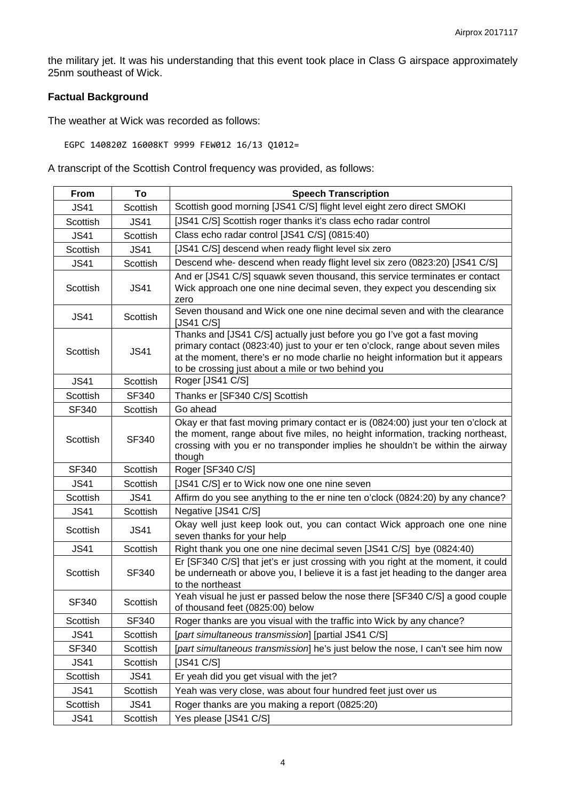the military jet. It was his understanding that this event took place in Class G airspace approximately 25nm southeast of Wick.

## **Factual Background**

The weather at Wick was recorded as follows:

EGPC 140820Z 16008KT 9999 FEW012 16/13 Q1012=

A transcript of the Scottish Control frequency was provided, as follows:

| From         | To          | <b>Speech Transcription</b>                                                                                                                                                                                                                                                                        |  |  |  |  |  |
|--------------|-------------|----------------------------------------------------------------------------------------------------------------------------------------------------------------------------------------------------------------------------------------------------------------------------------------------------|--|--|--|--|--|
| <b>JS41</b>  | Scottish    | Scottish good morning [JS41 C/S] flight level eight zero direct SMOKI                                                                                                                                                                                                                              |  |  |  |  |  |
| Scottish     | <b>JS41</b> | [JS41 C/S] Scottish roger thanks it's class echo radar control                                                                                                                                                                                                                                     |  |  |  |  |  |
| <b>JS41</b>  | Scottish    | Class echo radar control [JS41 C/S] (0815:40)                                                                                                                                                                                                                                                      |  |  |  |  |  |
| Scottish     | <b>JS41</b> | [JS41 C/S] descend when ready flight level six zero                                                                                                                                                                                                                                                |  |  |  |  |  |
| <b>JS41</b>  | Scottish    | Descend whe- descend when ready flight level six zero (0823:20) [JS41 C/S]                                                                                                                                                                                                                         |  |  |  |  |  |
| Scottish     | <b>JS41</b> | And er [JS41 C/S] squawk seven thousand, this service terminates er contact<br>Wick approach one one nine decimal seven, they expect you descending six<br>zero                                                                                                                                    |  |  |  |  |  |
| <b>JS41</b>  | Scottish    | Seven thousand and Wick one one nine decimal seven and with the clearance<br>[JS41 $C/S$ ]                                                                                                                                                                                                         |  |  |  |  |  |
| Scottish     | <b>JS41</b> | Thanks and [JS41 C/S] actually just before you go I've got a fast moving<br>primary contact (0823:40) just to your er ten o'clock, range about seven miles<br>at the moment, there's er no mode charlie no height information but it appears<br>to be crossing just about a mile or two behind you |  |  |  |  |  |
| <b>JS41</b>  | Scottish    | Roger [JS41 C/S]                                                                                                                                                                                                                                                                                   |  |  |  |  |  |
| Scottish     | SF340       | Thanks er [SF340 C/S] Scottish                                                                                                                                                                                                                                                                     |  |  |  |  |  |
| SF340        | Scottish    | Go ahead                                                                                                                                                                                                                                                                                           |  |  |  |  |  |
| Scottish     | SF340       | Okay er that fast moving primary contact er is (0824:00) just your ten o'clock at<br>the moment, range about five miles, no height information, tracking northeast,<br>crossing with you er no transponder implies he shouldn't be within the airway<br>though                                     |  |  |  |  |  |
| SF340        | Scottish    | Roger [SF340 C/S]                                                                                                                                                                                                                                                                                  |  |  |  |  |  |
| <b>JS41</b>  | Scottish    | [JS41 C/S] er to Wick now one one nine seven                                                                                                                                                                                                                                                       |  |  |  |  |  |
| Scottish     | <b>JS41</b> | Affirm do you see anything to the er nine ten o'clock (0824:20) by any chance?                                                                                                                                                                                                                     |  |  |  |  |  |
| <b>JS41</b>  | Scottish    | Negative [JS41 C/S]                                                                                                                                                                                                                                                                                |  |  |  |  |  |
| Scottish     | <b>JS41</b> | Okay well just keep look out, you can contact Wick approach one one nine<br>seven thanks for your help                                                                                                                                                                                             |  |  |  |  |  |
| <b>JS41</b>  | Scottish    | Right thank you one one nine decimal seven [JS41 C/S] bye (0824:40)                                                                                                                                                                                                                                |  |  |  |  |  |
| Scottish     | SF340       | Er [SF340 C/S] that jet's er just crossing with you right at the moment, it could<br>be underneath or above you, I believe it is a fast jet heading to the danger area<br>to the northeast                                                                                                         |  |  |  |  |  |
| SF340        | Scottish    | Yeah visual he just er passed below the nose there [SF340 C/S] a good couple<br>of thousand feet (0825:00) below                                                                                                                                                                                   |  |  |  |  |  |
| Scottish     | SF340       | Roger thanks are you visual with the traffic into Wick by any chance?                                                                                                                                                                                                                              |  |  |  |  |  |
| <b>JS41</b>  | Scottish    | [part simultaneous transmission] [partial JS41 C/S]                                                                                                                                                                                                                                                |  |  |  |  |  |
| <b>SF340</b> | Scottish    | [part simultaneous transmission] he's just below the nose, I can't see him now                                                                                                                                                                                                                     |  |  |  |  |  |
| <b>JS41</b>  | Scottish    | [JS41 $C/S$ ]                                                                                                                                                                                                                                                                                      |  |  |  |  |  |
| Scottish     | <b>JS41</b> | Er yeah did you get visual with the jet?                                                                                                                                                                                                                                                           |  |  |  |  |  |
| <b>JS41</b>  | Scottish    | Yeah was very close, was about four hundred feet just over us                                                                                                                                                                                                                                      |  |  |  |  |  |
| Scottish     | <b>JS41</b> | Roger thanks are you making a report (0825:20)                                                                                                                                                                                                                                                     |  |  |  |  |  |
| <b>JS41</b>  | Scottish    | Yes please [JS41 C/S]                                                                                                                                                                                                                                                                              |  |  |  |  |  |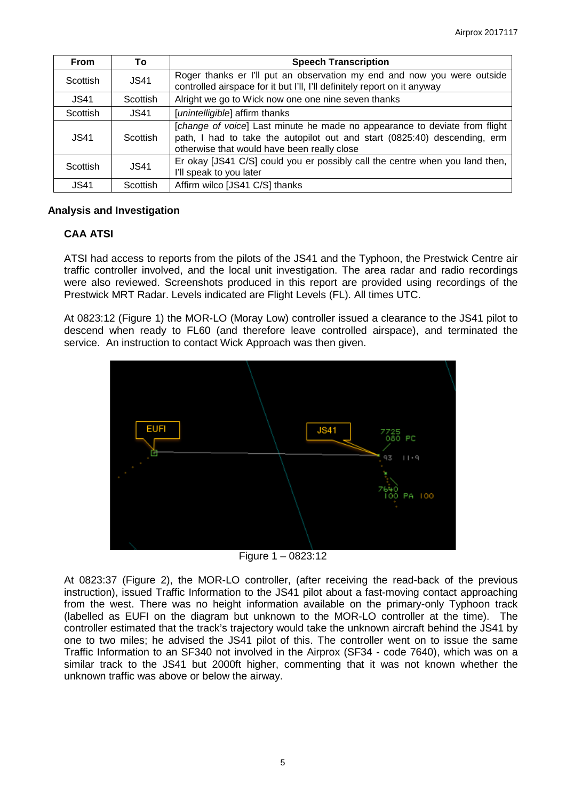| <b>From</b> | Τo          | <b>Speech Transcription</b>                                                                                                                                                                            |  |  |  |  |
|-------------|-------------|--------------------------------------------------------------------------------------------------------------------------------------------------------------------------------------------------------|--|--|--|--|
| Scottish    | <b>JS41</b> | Roger thanks er I'll put an observation my end and now you were outside<br>controlled airspace for it but I'll, I'll definitely report on it anyway                                                    |  |  |  |  |
| <b>JS41</b> | Scottish    | Alright we go to Wick now one one nine seven thanks                                                                                                                                                    |  |  |  |  |
| Scottish    | <b>JS41</b> | [unintelligible] affirm thanks                                                                                                                                                                         |  |  |  |  |
| <b>JS41</b> | Scottish    | [change of voice] Last minute he made no appearance to deviate from flight<br>path, I had to take the autopilot out and start (0825:40) descending, erm<br>otherwise that would have been really close |  |  |  |  |
| Scottish    | <b>JS41</b> | Er okay [JS41 C/S] could you er possibly call the centre when you land then,<br>I'll speak to you later                                                                                                |  |  |  |  |
| <b>JS41</b> | Scottish    | Affirm wilco [JS41 C/S] thanks                                                                                                                                                                         |  |  |  |  |

## **Analysis and Investigation**

# **CAA ATSI**

ATSI had access to reports from the pilots of the JS41 and the Typhoon, the Prestwick Centre air traffic controller involved, and the local unit investigation. The area radar and radio recordings were also reviewed. Screenshots produced in this report are provided using recordings of the Prestwick MRT Radar. Levels indicated are Flight Levels (FL). All times UTC.

At 0823:12 (Figure 1) the MOR-LO (Moray Low) controller issued a clearance to the JS41 pilot to descend when ready to FL60 (and therefore leave controlled airspace), and terminated the service. An instruction to contact Wick Approach was then given.



Figure 1 – 0823:12

At 0823:37 (Figure 2), the MOR-LO controller, (after receiving the read-back of the previous instruction), issued Traffic Information to the JS41 pilot about a fast-moving contact approaching from the west. There was no height information available on the primary-only Typhoon track (labelled as EUFI on the diagram but unknown to the MOR-LO controller at the time). The controller estimated that the track's trajectory would take the unknown aircraft behind the JS41 by one to two miles; he advised the JS41 pilot of this. The controller went on to issue the same Traffic Information to an SF340 not involved in the Airprox (SF34 - code 7640), which was on a similar track to the JS41 but 2000ft higher, commenting that it was not known whether the unknown traffic was above or below the airway.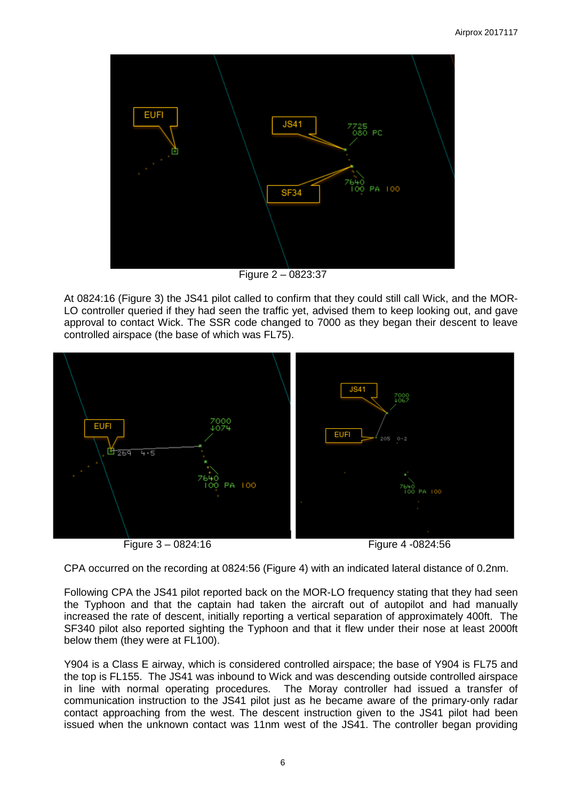

Figure 2 – 0823:37

At 0824:16 (Figure 3) the JS41 pilot called to confirm that they could still call Wick, and the MOR-LO controller queried if they had seen the traffic yet, advised them to keep looking out, and gave approval to contact Wick. The SSR code changed to 7000 as they began their descent to leave controlled airspace (the base of which was FL75).



Figure 3 – 0824:16 Figure 4 -0824:56

CPA occurred on the recording at 0824:56 (Figure 4) with an indicated lateral distance of 0.2nm.

Following CPA the JS41 pilot reported back on the MOR-LO frequency stating that they had seen the Typhoon and that the captain had taken the aircraft out of autopilot and had manually increased the rate of descent, initially reporting a vertical separation of approximately 400ft. The SF340 pilot also reported sighting the Typhoon and that it flew under their nose at least 2000ft below them (they were at FL100).

Y904 is a Class E airway, which is considered controlled airspace; the base of Y904 is FL75 and the top is FL155. The JS41 was inbound to Wick and was descending outside controlled airspace in line with normal operating procedures. The Moray controller had issued a transfer of communication instruction to the JS41 pilot just as he became aware of the primary-only radar contact approaching from the west. The descent instruction given to the JS41 pilot had been issued when the unknown contact was 11nm west of the JS41. The controller began providing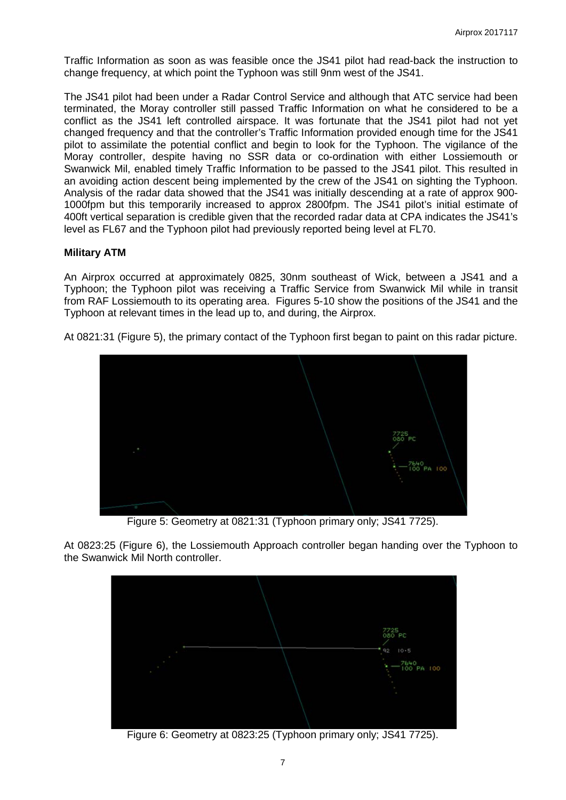Traffic Information as soon as was feasible once the JS41 pilot had read-back the instruction to change frequency, at which point the Typhoon was still 9nm west of the JS41.

The JS41 pilot had been under a Radar Control Service and although that ATC service had been terminated, the Moray controller still passed Traffic Information on what he considered to be a conflict as the JS41 left controlled airspace. It was fortunate that the JS41 pilot had not yet changed frequency and that the controller's Traffic Information provided enough time for the JS41 pilot to assimilate the potential conflict and begin to look for the Typhoon. The vigilance of the Moray controller, despite having no SSR data or co-ordination with either Lossiemouth or Swanwick Mil, enabled timely Traffic Information to be passed to the JS41 pilot. This resulted in an avoiding action descent being implemented by the crew of the JS41 on sighting the Typhoon. Analysis of the radar data showed that the JS41 was initially descending at a rate of approx 900- 1000fpm but this temporarily increased to approx 2800fpm. The JS41 pilot's initial estimate of 400ft vertical separation is credible given that the recorded radar data at CPA indicates the JS41's level as FL67 and the Typhoon pilot had previously reported being level at FL70.

## **Military ATM**

An Airprox occurred at approximately 0825, 30nm southeast of Wick, between a JS41 and a Typhoon; the Typhoon pilot was receiving a Traffic Service from Swanwick Mil while in transit from RAF Lossiemouth to its operating area. Figures 5-10 show the positions of the JS41 and the Typhoon at relevant times in the lead up to, and during, the Airprox.

At 0821:31 (Figure 5), the primary contact of the Typhoon first began to paint on this radar picture.



Figure 5: Geometry at 0821:31 (Typhoon primary only; JS41 7725).

At 0823:25 (Figure 6), the Lossiemouth Approach controller began handing over the Typhoon to the Swanwick Mil North controller.



Figure 6: Geometry at 0823:25 (Typhoon primary only; JS41 7725).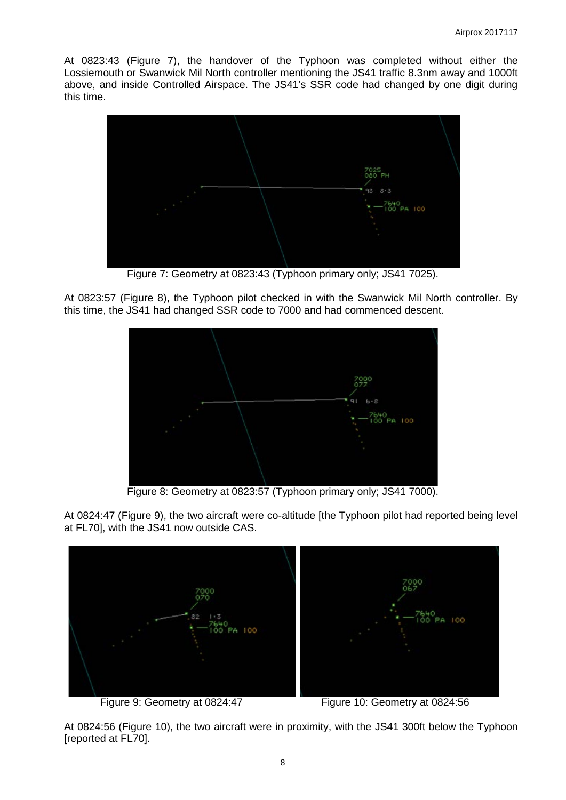At 0823:43 (Figure 7), the handover of the Typhoon was completed without either the Lossiemouth or Swanwick Mil North controller mentioning the JS41 traffic 8.3nm away and 1000ft above, and inside Controlled Airspace. The JS41's SSR code had changed by one digit during this time.



Figure 7: Geometry at 0823:43 (Typhoon primary only; JS41 7025).

At 0823:57 (Figure 8), the Typhoon pilot checked in with the Swanwick Mil North controller. By this time, the JS41 had changed SSR code to 7000 and had commenced descent.



Figure 8: Geometry at 0823:57 (Typhoon primary only; JS41 7000).

At 0824:47 (Figure 9), the two aircraft were co-altitude [the Typhoon pilot had reported being level at FL70], with the JS41 now outside CAS.



Figure 9: Geometry at 0824:47 Figure 10: Geometry at 0824:56

At 0824:56 (Figure 10), the two aircraft were in proximity, with the JS41 300ft below the Typhoon [reported at FL70].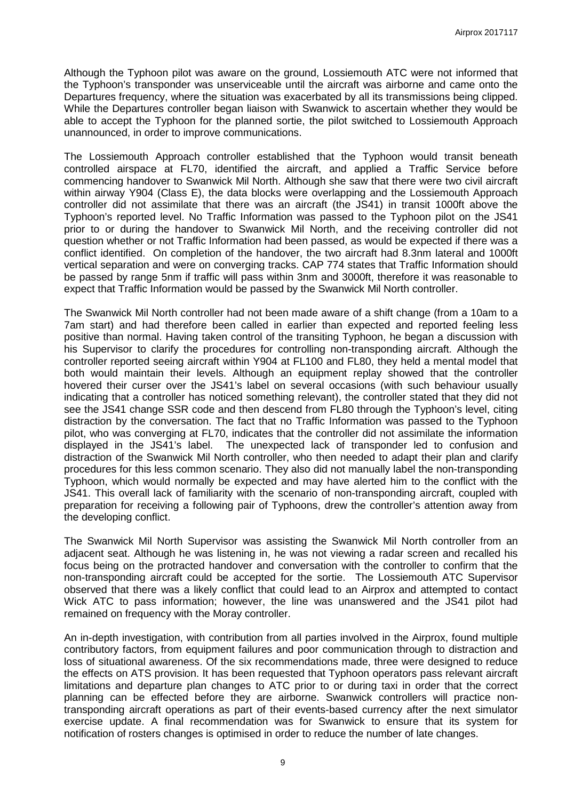Although the Typhoon pilot was aware on the ground, Lossiemouth ATC were not informed that the Typhoon's transponder was unserviceable until the aircraft was airborne and came onto the Departures frequency, where the situation was exacerbated by all its transmissions being clipped. While the Departures controller began liaison with Swanwick to ascertain whether they would be able to accept the Typhoon for the planned sortie, the pilot switched to Lossiemouth Approach unannounced, in order to improve communications.

The Lossiemouth Approach controller established that the Typhoon would transit beneath controlled airspace at FL70, identified the aircraft, and applied a Traffic Service before commencing handover to Swanwick Mil North. Although she saw that there were two civil aircraft within airway Y904 (Class E), the data blocks were overlapping and the Lossiemouth Approach controller did not assimilate that there was an aircraft (the JS41) in transit 1000ft above the Typhoon's reported level. No Traffic Information was passed to the Typhoon pilot on the JS41 prior to or during the handover to Swanwick Mil North, and the receiving controller did not question whether or not Traffic Information had been passed, as would be expected if there was a conflict identified. On completion of the handover, the two aircraft had 8.3nm lateral and 1000ft vertical separation and were on converging tracks. CAP 774 states that Traffic Information should be passed by range 5nm if traffic will pass within 3nm and 3000ft, therefore it was reasonable to expect that Traffic Information would be passed by the Swanwick Mil North controller.

The Swanwick Mil North controller had not been made aware of a shift change (from a 10am to a 7am start) and had therefore been called in earlier than expected and reported feeling less positive than normal. Having taken control of the transiting Typhoon, he began a discussion with his Supervisor to clarify the procedures for controlling non-transponding aircraft. Although the controller reported seeing aircraft within Y904 at FL100 and FL80, they held a mental model that both would maintain their levels. Although an equipment replay showed that the controller hovered their curser over the JS41's label on several occasions (with such behaviour usually indicating that a controller has noticed something relevant), the controller stated that they did not see the JS41 change SSR code and then descend from FL80 through the Typhoon's level, citing distraction by the conversation. The fact that no Traffic Information was passed to the Typhoon pilot, who was converging at FL70, indicates that the controller did not assimilate the information displayed in the JS41's label. The unexpected lack of transponder led to confusion and distraction of the Swanwick Mil North controller, who then needed to adapt their plan and clarify procedures for this less common scenario. They also did not manually label the non-transponding Typhoon, which would normally be expected and may have alerted him to the conflict with the JS41. This overall lack of familiarity with the scenario of non-transponding aircraft, coupled with preparation for receiving a following pair of Typhoons, drew the controller's attention away from the developing conflict.

The Swanwick Mil North Supervisor was assisting the Swanwick Mil North controller from an adjacent seat. Although he was listening in, he was not viewing a radar screen and recalled his focus being on the protracted handover and conversation with the controller to confirm that the non-transponding aircraft could be accepted for the sortie. The Lossiemouth ATC Supervisor observed that there was a likely conflict that could lead to an Airprox and attempted to contact Wick ATC to pass information; however, the line was unanswered and the JS41 pilot had remained on frequency with the Moray controller.

An in-depth investigation, with contribution from all parties involved in the Airprox, found multiple contributory factors, from equipment failures and poor communication through to distraction and loss of situational awareness. Of the six recommendations made, three were designed to reduce the effects on ATS provision. It has been requested that Typhoon operators pass relevant aircraft limitations and departure plan changes to ATC prior to or during taxi in order that the correct planning can be effected before they are airborne. Swanwick controllers will practice nontransponding aircraft operations as part of their events-based currency after the next simulator exercise update. A final recommendation was for Swanwick to ensure that its system for notification of rosters changes is optimised in order to reduce the number of late changes.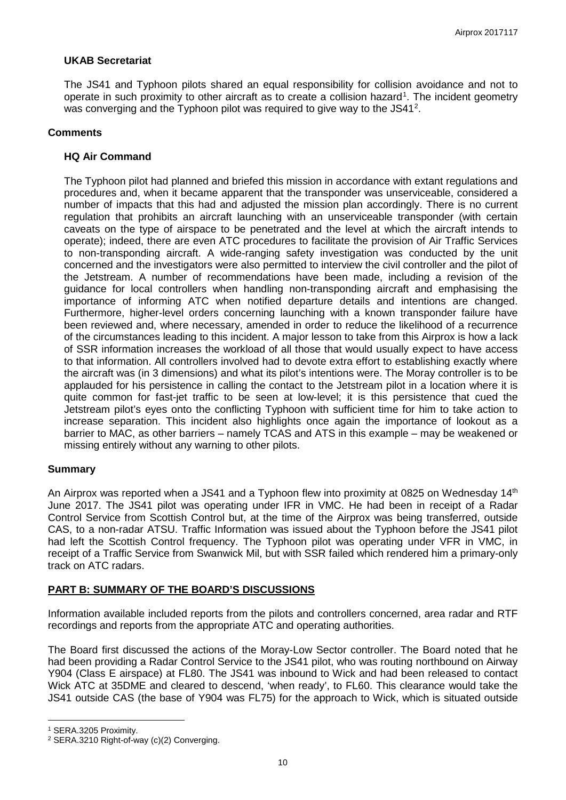## **UKAB Secretariat**

The JS41 and Typhoon pilots shared an equal responsibility for collision avoidance and not to operate in such proximity to other aircraft as to create a collision hazard<sup>[1](#page-9-0)</sup>. The incident geometry was converging and the Typhoon pilot was required to give way to the JS41<sup>[2](#page-9-1)</sup>.

#### **Comments**

## **HQ Air Command**

The Typhoon pilot had planned and briefed this mission in accordance with extant regulations and procedures and, when it became apparent that the transponder was unserviceable, considered a number of impacts that this had and adjusted the mission plan accordingly. There is no current regulation that prohibits an aircraft launching with an unserviceable transponder (with certain caveats on the type of airspace to be penetrated and the level at which the aircraft intends to operate); indeed, there are even ATC procedures to facilitate the provision of Air Traffic Services to non-transponding aircraft. A wide-ranging safety investigation was conducted by the unit concerned and the investigators were also permitted to interview the civil controller and the pilot of the Jetstream. A number of recommendations have been made, including a revision of the guidance for local controllers when handling non-transponding aircraft and emphasising the importance of informing ATC when notified departure details and intentions are changed. Furthermore, higher-level orders concerning launching with a known transponder failure have been reviewed and, where necessary, amended in order to reduce the likelihood of a recurrence of the circumstances leading to this incident. A major lesson to take from this Airprox is how a lack of SSR information increases the workload of all those that would usually expect to have access to that information. All controllers involved had to devote extra effort to establishing exactly where the aircraft was (in 3 dimensions) and what its pilot's intentions were. The Moray controller is to be applauded for his persistence in calling the contact to the Jetstream pilot in a location where it is quite common for fast-jet traffic to be seen at low-level; it is this persistence that cued the Jetstream pilot's eyes onto the conflicting Typhoon with sufficient time for him to take action to increase separation. This incident also highlights once again the importance of lookout as a barrier to MAC, as other barriers – namely TCAS and ATS in this example – may be weakened or missing entirely without any warning to other pilots.

#### **Summary**

An Airprox was reported when a JS41 and a Typhoon flew into proximity at 0825 on Wednesday 14<sup>th</sup> June 2017. The JS41 pilot was operating under IFR in VMC. He had been in receipt of a Radar Control Service from Scottish Control but, at the time of the Airprox was being transferred, outside CAS, to a non-radar ATSU. Traffic Information was issued about the Typhoon before the JS41 pilot had left the Scottish Control frequency. The Typhoon pilot was operating under VFR in VMC, in receipt of a Traffic Service from Swanwick Mil, but with SSR failed which rendered him a primary-only track on ATC radars.

# **PART B: SUMMARY OF THE BOARD'S DISCUSSIONS**

Information available included reports from the pilots and controllers concerned, area radar and RTF recordings and reports from the appropriate ATC and operating authorities.

The Board first discussed the actions of the Moray-Low Sector controller. The Board noted that he had been providing a Radar Control Service to the JS41 pilot, who was routing northbound on Airway Y904 (Class E airspace) at FL80. The JS41 was inbound to Wick and had been released to contact Wick ATC at 35DME and cleared to descend, 'when ready', to FL60. This clearance would take the JS41 outside CAS (the base of Y904 was FL75) for the approach to Wick, which is situated outside

l

<span id="page-9-0"></span><sup>1</sup> SERA.3205 Proximity.

<span id="page-9-1"></span><sup>2</sup> SERA.3210 Right-of-way (c)(2) Converging.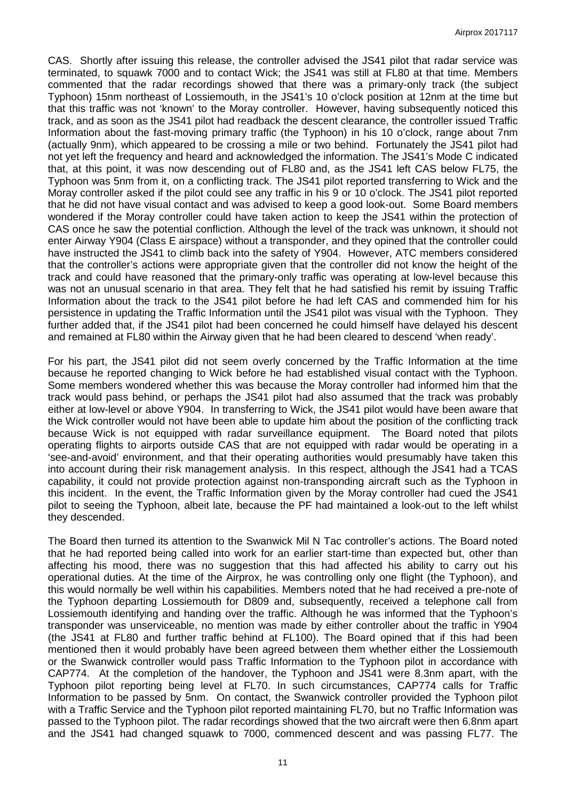CAS. Shortly after issuing this release, the controller advised the JS41 pilot that radar service was terminated, to squawk 7000 and to contact Wick; the JS41 was still at FL80 at that time. Members commented that the radar recordings showed that there was a primary-only track (the subject Typhoon) 15nm northeast of Lossiemouth, in the JS41's 10 o'clock position at 12nm at the time but that this traffic was not 'known' to the Moray controller. However, having subsequently noticed this track, and as soon as the JS41 pilot had readback the descent clearance, the controller issued Traffic Information about the fast-moving primary traffic (the Typhoon) in his 10 o'clock, range about 7nm (actually 9nm), which appeared to be crossing a mile or two behind. Fortunately the JS41 pilot had not yet left the frequency and heard and acknowledged the information. The JS41's Mode C indicated that, at this point, it was now descending out of FL80 and, as the JS41 left CAS below FL75, the Typhoon was 5nm from it, on a conflicting track. The JS41 pilot reported transferring to Wick and the Moray controller asked if the pilot could see any traffic in his 9 or 10 o'clock. The JS41 pilot reported that he did not have visual contact and was advised to keep a good look-out. Some Board members wondered if the Moray controller could have taken action to keep the JS41 within the protection of CAS once he saw the potential confliction. Although the level of the track was unknown, it should not enter Airway Y904 (Class E airspace) without a transponder, and they opined that the controller could have instructed the JS41 to climb back into the safety of Y904. However, ATC members considered that the controller's actions were appropriate given that the controller did not know the height of the track and could have reasoned that the primary-only traffic was operating at low-level because this was not an unusual scenario in that area. They felt that he had satisfied his remit by issuing Traffic Information about the track to the JS41 pilot before he had left CAS and commended him for his persistence in updating the Traffic Information until the JS41 pilot was visual with the Typhoon. They further added that, if the JS41 pilot had been concerned he could himself have delayed his descent and remained at FL80 within the Airway given that he had been cleared to descend 'when ready'.

For his part, the JS41 pilot did not seem overly concerned by the Traffic Information at the time because he reported changing to Wick before he had established visual contact with the Typhoon. Some members wondered whether this was because the Moray controller had informed him that the track would pass behind, or perhaps the JS41 pilot had also assumed that the track was probably either at low-level or above Y904. In transferring to Wick, the JS41 pilot would have been aware that the Wick controller would not have been able to update him about the position of the conflicting track because Wick is not equipped with radar surveillance equipment. The Board noted that pilots operating flights to airports outside CAS that are not equipped with radar would be operating in a 'see-and-avoid' environment, and that their operating authorities would presumably have taken this into account during their risk management analysis. In this respect, although the JS41 had a TCAS capability, it could not provide protection against non-transponding aircraft such as the Typhoon in this incident. In the event, the Traffic Information given by the Moray controller had cued the JS41 pilot to seeing the Typhoon, albeit late, because the PF had maintained a look-out to the left whilst they descended.

The Board then turned its attention to the Swanwick Mil N Tac controller's actions. The Board noted that he had reported being called into work for an earlier start-time than expected but, other than affecting his mood, there was no suggestion that this had affected his ability to carry out his operational duties. At the time of the Airprox, he was controlling only one flight (the Typhoon), and this would normally be well within his capabilities. Members noted that he had received a pre-note of the Typhoon departing Lossiemouth for D809 and, subsequently, received a telephone call from Lossiemouth identifying and handing over the traffic. Although he was informed that the Typhoon's transponder was unserviceable, no mention was made by either controller about the traffic in Y904 (the JS41 at FL80 and further traffic behind at FL100). The Board opined that if this had been mentioned then it would probably have been agreed between them whether either the Lossiemouth or the Swanwick controller would pass Traffic Information to the Typhoon pilot in accordance with CAP774. At the completion of the handover, the Typhoon and JS41 were 8.3nm apart, with the Typhoon pilot reporting being level at FL70. In such circumstances, CAP774 calls for Traffic Information to be passed by 5nm. On contact, the Swanwick controller provided the Typhoon pilot with a Traffic Service and the Typhoon pilot reported maintaining FL70, but no Traffic Information was passed to the Typhoon pilot. The radar recordings showed that the two aircraft were then 6.8nm apart and the JS41 had changed squawk to 7000, commenced descent and was passing FL77. The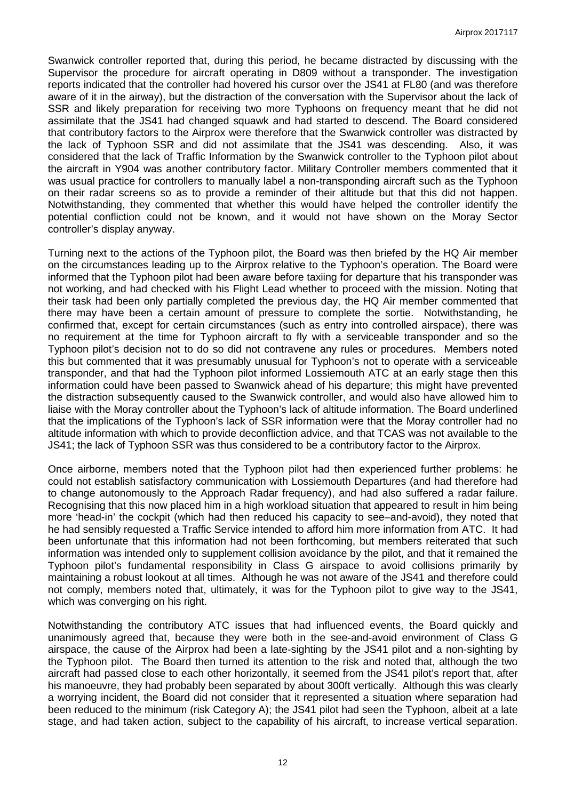Swanwick controller reported that, during this period, he became distracted by discussing with the Supervisor the procedure for aircraft operating in D809 without a transponder. The investigation reports indicated that the controller had hovered his cursor over the JS41 at FL80 (and was therefore aware of it in the airway), but the distraction of the conversation with the Supervisor about the lack of SSR and likely preparation for receiving two more Typhoons on frequency meant that he did not assimilate that the JS41 had changed squawk and had started to descend. The Board considered that contributory factors to the Airprox were therefore that the Swanwick controller was distracted by the lack of Typhoon SSR and did not assimilate that the JS41 was descending. Also, it was considered that the lack of Traffic Information by the Swanwick controller to the Typhoon pilot about the aircraft in Y904 was another contributory factor. Military Controller members commented that it was usual practice for controllers to manually label a non-transponding aircraft such as the Typhoon on their radar screens so as to provide a reminder of their altitude but that this did not happen. Notwithstanding, they commented that whether this would have helped the controller identify the potential confliction could not be known, and it would not have shown on the Moray Sector controller's display anyway.

Turning next to the actions of the Typhoon pilot, the Board was then briefed by the HQ Air member on the circumstances leading up to the Airprox relative to the Typhoon's operation. The Board were informed that the Typhoon pilot had been aware before taxiing for departure that his transponder was not working, and had checked with his Flight Lead whether to proceed with the mission. Noting that their task had been only partially completed the previous day, the HQ Air member commented that there may have been a certain amount of pressure to complete the sortie. Notwithstanding, he confirmed that, except for certain circumstances (such as entry into controlled airspace), there was no requirement at the time for Typhoon aircraft to fly with a serviceable transponder and so the Typhoon pilot's decision not to do so did not contravene any rules or procedures. Members noted this but commented that it was presumably unusual for Typhoon's not to operate with a serviceable transponder, and that had the Typhoon pilot informed Lossiemouth ATC at an early stage then this information could have been passed to Swanwick ahead of his departure; this might have prevented the distraction subsequently caused to the Swanwick controller, and would also have allowed him to liaise with the Moray controller about the Typhoon's lack of altitude information. The Board underlined that the implications of the Typhoon's lack of SSR information were that the Moray controller had no altitude information with which to provide deconfliction advice, and that TCAS was not available to the JS41; the lack of Typhoon SSR was thus considered to be a contributory factor to the Airprox.

Once airborne, members noted that the Typhoon pilot had then experienced further problems: he could not establish satisfactory communication with Lossiemouth Departures (and had therefore had to change autonomously to the Approach Radar frequency), and had also suffered a radar failure. Recognising that this now placed him in a high workload situation that appeared to result in him being more 'head-in' the cockpit (which had then reduced his capacity to see–and-avoid), they noted that he had sensibly requested a Traffic Service intended to afford him more information from ATC. It had been unfortunate that this information had not been forthcoming, but members reiterated that such information was intended only to supplement collision avoidance by the pilot, and that it remained the Typhoon pilot's fundamental responsibility in Class G airspace to avoid collisions primarily by maintaining a robust lookout at all times. Although he was not aware of the JS41 and therefore could not comply, members noted that, ultimately, it was for the Typhoon pilot to give way to the JS41, which was converging on his right.

Notwithstanding the contributory ATC issues that had influenced events, the Board quickly and unanimously agreed that, because they were both in the see-and-avoid environment of Class G airspace, the cause of the Airprox had been a late-sighting by the JS41 pilot and a non-sighting by the Typhoon pilot. The Board then turned its attention to the risk and noted that, although the two aircraft had passed close to each other horizontally, it seemed from the JS41 pilot's report that, after his manoeuvre, they had probably been separated by about 300ft vertically. Although this was clearly a worrying incident, the Board did not consider that it represented a situation where separation had been reduced to the minimum (risk Category A); the JS41 pilot had seen the Typhoon, albeit at a late stage, and had taken action, subject to the capability of his aircraft, to increase vertical separation.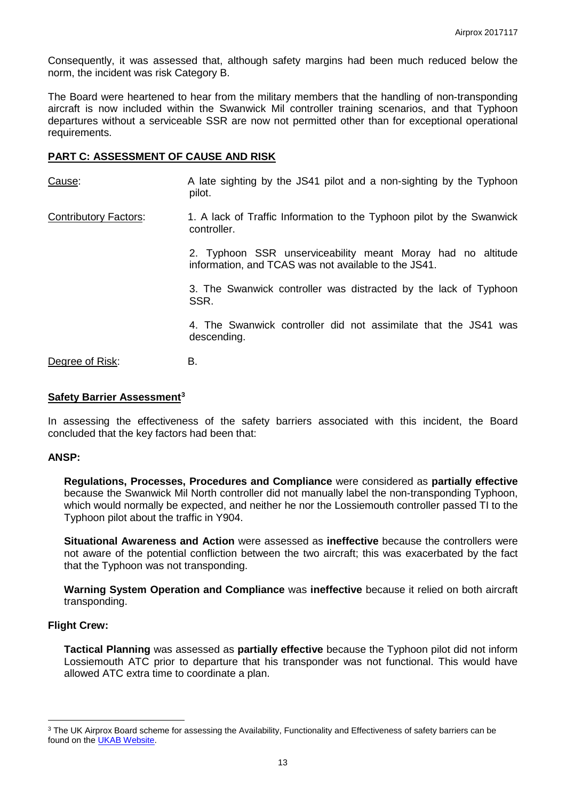Consequently, it was assessed that, although safety margins had been much reduced below the norm, the incident was risk Category B.

The Board were heartened to hear from the military members that the handling of non-transponding aircraft is now included within the Swanwick Mil controller training scenarios, and that Typhoon departures without a serviceable SSR are now not permitted other than for exceptional operational requirements.

#### **PART C: ASSESSMENT OF CAUSE AND RISK**

| Cause:                       | A late sighting by the JS41 pilot and a non-sighting by the Typhoon<br>pilot.                                       |  |  |  |  |
|------------------------------|---------------------------------------------------------------------------------------------------------------------|--|--|--|--|
| <b>Contributory Factors:</b> | 1. A lack of Traffic Information to the Typhoon pilot by the Swanwick<br>controller.                                |  |  |  |  |
|                              | 2. Typhoon SSR unserviceability meant Moray had no altitude<br>information, and TCAS was not available to the JS41. |  |  |  |  |
|                              | 3. The Swanwick controller was distracted by the lack of Typhoon<br>SSR.                                            |  |  |  |  |
|                              | 4. The Swanwick controller did not assimilate that the JS41 was<br>descending.                                      |  |  |  |  |
| Degree of Risk:              | В.                                                                                                                  |  |  |  |  |

**Safety Barrier Assessment[3](#page-12-0)**

In assessing the effectiveness of the safety barriers associated with this incident, the Board concluded that the key factors had been that:

#### **ANSP:**

**Regulations, Processes, Procedures and Compliance** were considered as **partially effective** because the Swanwick Mil North controller did not manually label the non-transponding Typhoon, which would normally be expected, and neither he nor the Lossiemouth controller passed TI to the Typhoon pilot about the traffic in Y904.

**Situational Awareness and Action** were assessed as **ineffective** because the controllers were not aware of the potential confliction between the two aircraft; this was exacerbated by the fact that the Typhoon was not transponding.

**Warning System Operation and Compliance** was **ineffective** because it relied on both aircraft transponding.

# **Flight Crew:**

l

**Tactical Planning** was assessed as **partially effective** because the Typhoon pilot did not inform Lossiemouth ATC prior to departure that his transponder was not functional. This would have allowed ATC extra time to coordinate a plan.

<span id="page-12-0"></span><sup>&</sup>lt;sup>3</sup> The UK Airprox Board scheme for assessing the Availability, Functionality and Effectiveness of safety barriers can be found on the [UKAB Website.](http://www.airproxboard.org.uk/Learn-more/Airprox-Barrier-Assessment/)